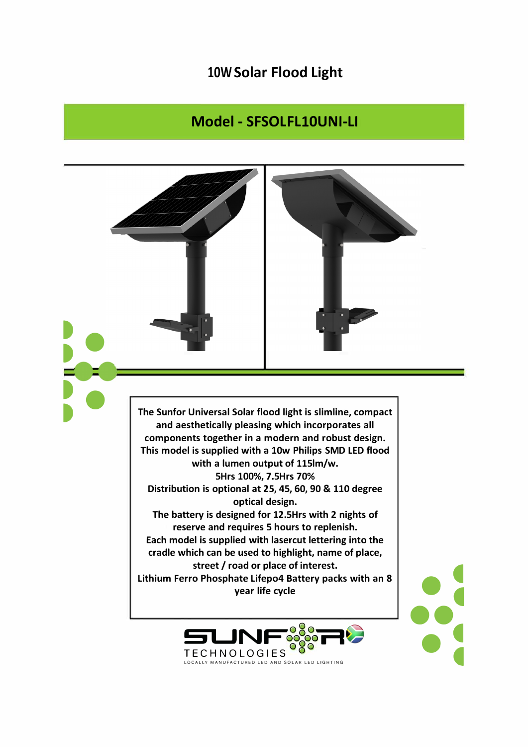## 10W Solar Flood Light

## Model - SFSOLFL10UNI-LI